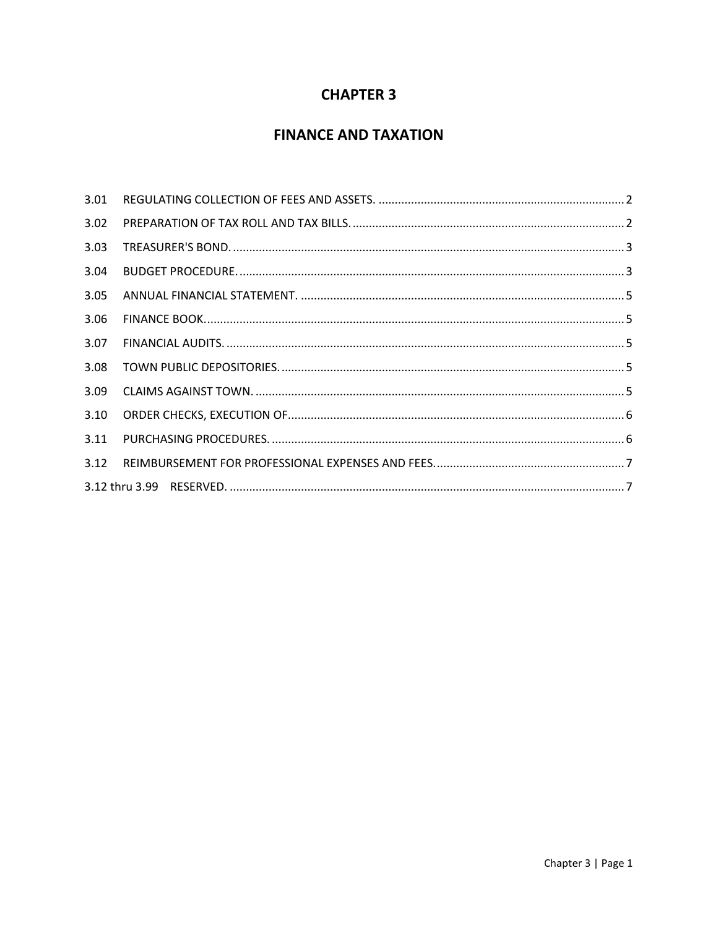## **CHAPTER 3**

# **FINANCE AND TAXATION**

| 3.01 |  |
|------|--|
| 3.02 |  |
| 3.03 |  |
| 3.04 |  |
| 3.05 |  |
| 3.06 |  |
| 3.07 |  |
| 3.08 |  |
| 3.09 |  |
| 3.10 |  |
| 3.11 |  |
| 3.12 |  |
|      |  |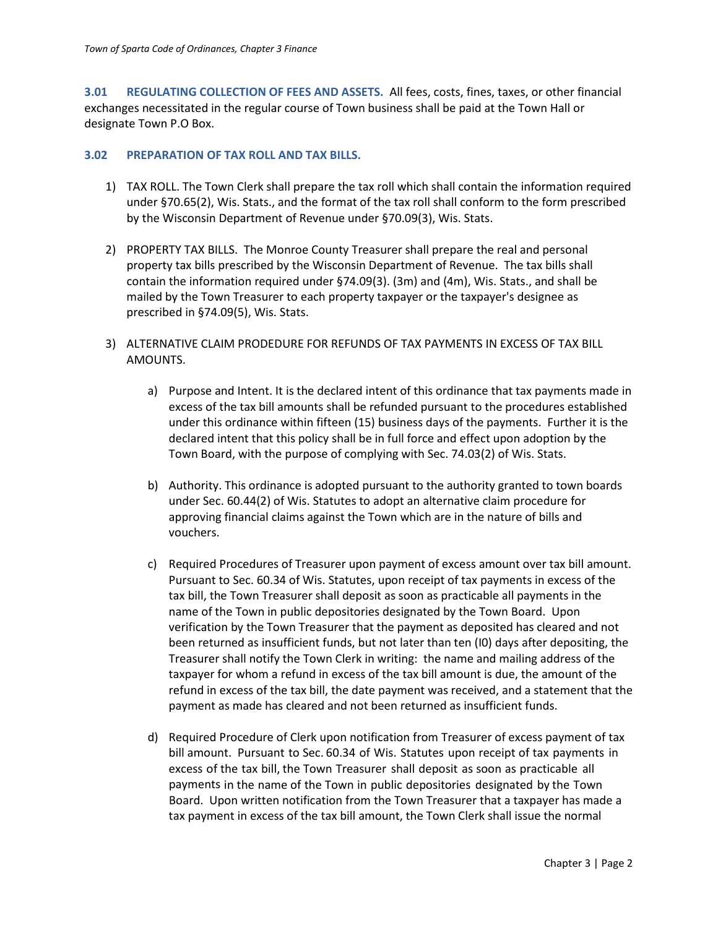<span id="page-1-0"></span>**3.01 REGULATING COLLECTION OF FEES AND ASSETS.** All fees, costs, fines, taxes, or other financial exchanges necessitated in the regular course of Town business shall be paid at the Town Hall or designate Town P.O Box.

#### <span id="page-1-1"></span>**3.02 PREPARATION OF TAX ROLL AND TAX BILLS.**

- 1) TAX ROLL. The Town Clerk shall prepare the tax roll which shall contain the information required under §70.65(2), Wis. Stats., and the format of the tax roll shall conform to the form prescribed by the Wisconsin Department of Revenue under §70.09(3), Wis. Stats.
- 2) PROPERTY TAX BILLS. The Monroe County Treasurer shall prepare the real and personal property tax bills prescribed by the Wisconsin Department of Revenue. The tax bills shall contain the information required under §74.09(3). (3m) and (4m), Wis. Stats., and shall be mailed by the Town Treasurer to each property taxpayer or the taxpayer's designee as prescribed in §74.09(5), Wis. Stats.
- 3) ALTERNATIVE CLAIM PRODEDURE FOR REFUNDS OF TAX PAYMENTS IN EXCESS OF TAX BILL AMOUNTS.
	- a) Purpose and Intent. It is the declared intent of this ordinance that tax payments made in excess of the tax bill amounts shall be refunded pursuant to the procedures established under this ordinance within fifteen (15) business days of the payments. Further it is the declared intent that this policy shall be in full force and effect upon adoption by the Town Board, with the purpose of complying with Sec. 74.03(2) of Wis. Stats.
	- b) Authority. This ordinance is adopted pursuant to the authority granted to town boards under Sec. 60.44(2) of Wis. Statutes to adopt an alternative claim procedure for approving financial claims against the Town which are in the nature of bills and vouchers.
	- c) Required Procedures of Treasurer upon payment of excess amount over tax bill amount. Pursuant to Sec. 60.34 of Wis. Statutes, upon receipt of tax payments in excess of the tax bill, the Town Treasurer shall deposit as soon as practicable all payments in the name of the Town in public depositories designated by the Town Board. Upon verification by the Town Treasurer that the payment as deposited has cleared and not been returned as insufficient funds, but not later than ten (I0) days after depositing, the Treasurer shall notify the Town Clerk in writing: the name and mailing address of the taxpayer for whom a refund in excess of the tax bill amount is due, the amount of the refund in excess of the tax bill, the date payment was received, and a statement that the payment as made has cleared and not been returned as insufficient funds.
	- d) Required Procedure of Clerk upon notification from Treasurer of excess payment of tax bill amount. Pursuant to Sec. 60.34 of Wis. Statutes upon receipt of tax payments in excess of the tax bill, the Town Treasurer shall deposit as soon as practicable all payments in the name of the Town in public depositories designated by the Town Board. Upon written notification from the Town Treasurer that a taxpayer has made a tax payment in excess of the tax bill amount, the Town Clerk shall issue the normal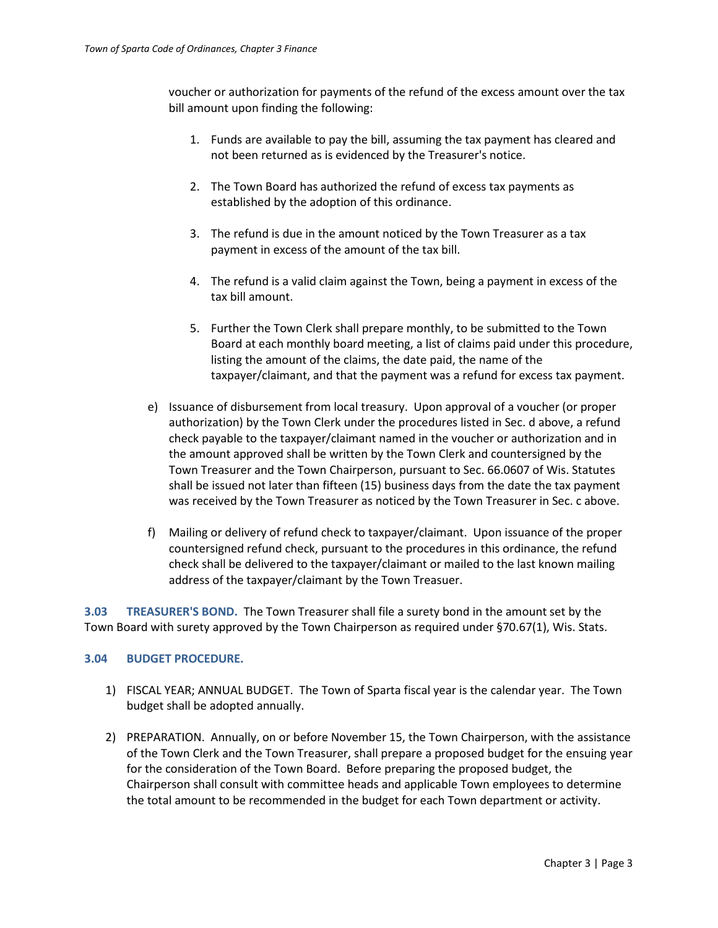voucher or authorization for payments of the refund of the excess amount over the tax bill amount upon finding the following:

- 1. Funds are available to pay the bill, assuming the tax payment has cleared and not been returned as is evidenced by the Treasurer's notice.
- 2. The Town Board has authorized the refund of excess tax payments as established by the adoption of this ordinance.
- 3. The refund is due in the amount noticed by the Town Treasurer as a tax payment in excess of the amount of the tax bill.
- 4. The refund is a valid claim against the Town, being a payment in excess of the tax bill amount.
- 5. Further the Town Clerk shall prepare monthly, to be submitted to the Town Board at each monthly board meeting, a list of claims paid under this procedure, listing the amount of the claims, the date paid, the name of the taxpayer/claimant, and that the payment was a refund for excess tax payment.
- e) Issuance of disbursement from local treasury. Upon approval of a voucher (or proper authorization) by the Town Clerk under the procedures listed in Sec. d above, a refund check payable to the taxpayer/claimant named in the voucher or authorization and in the amount approved shall be written by the Town Clerk and countersigned by the Town Treasurer and the Town Chairperson, pursuant to Sec. 66.0607 of Wis. Statutes shall be issued not later than fifteen (15) business days from the date the tax payment was received by the Town Treasurer as noticed by the Town Treasurer in Sec. c above.
- f) Mailing or delivery of refund check to taxpayer/claimant. Upon issuance of the proper countersigned refund check, pursuant to the procedures in this ordinance, the refund check shall be delivered to the taxpayer/claimant or mailed to the last known mailing address of the taxpayer/claimant by the Town Treasuer.

<span id="page-2-0"></span>**3.03 TREASURER'S BOND.** The Town Treasurer shall file a surety bond in the amount set by the Town Board with surety approved by the Town Chairperson as required under §70.67(1), Wis. Stats.

#### <span id="page-2-1"></span>**3.04 BUDGET PROCEDURE.**

- 1) FISCAL YEAR; ANNUAL BUDGET. The Town of Sparta fiscal year is the calendar year. The Town budget shall be adopted annually.
- 2) PREPARATION. Annually, on or before November 15, the Town Chairperson, with the assistance of the Town Clerk and the Town Treasurer, shall prepare a proposed budget for the ensuing year for the consideration of the Town Board. Before preparing the proposed budget, the Chairperson shall consult with committee heads and applicable Town employees to determine the total amount to be recommended in the budget for each Town department or activity.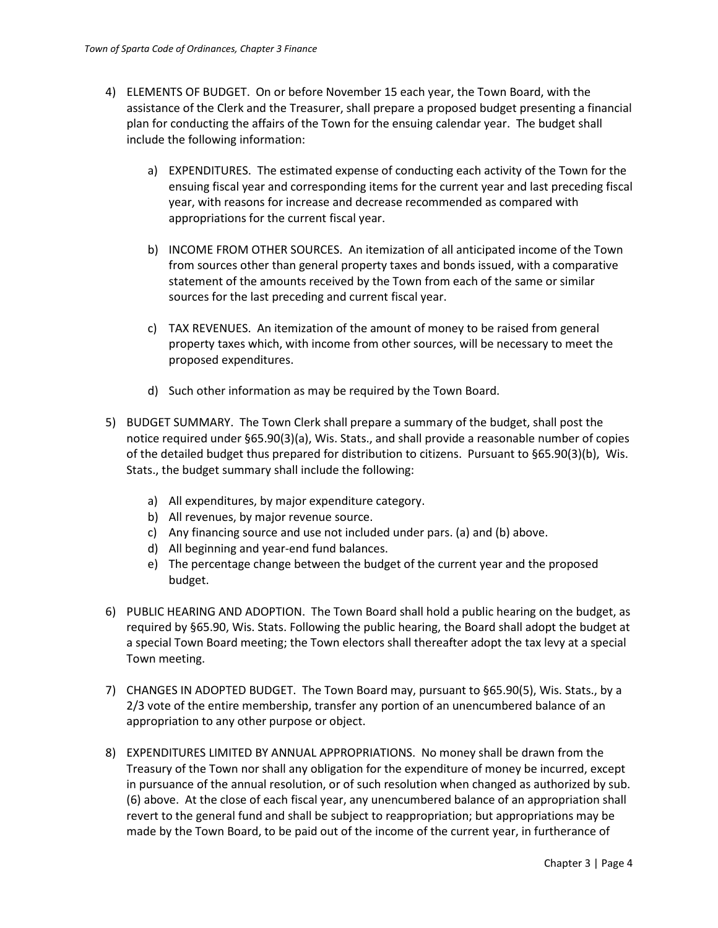- 4) ELEMENTS OF BUDGET. On or before November 15 each year, the Town Board, with the assistance of the Clerk and the Treasurer, shall prepare a proposed budget presenting a financial plan for conducting the affairs of the Town for the ensuing calendar year. The budget shall include the following information:
	- a) EXPENDITURES. The estimated expense of conducting each activity of the Town for the ensuing fiscal year and corresponding items for the current year and last preceding fiscal year, with reasons for increase and decrease recommended as compared with appropriations for the current fiscal year.
	- b) INCOME FROM OTHER SOURCES. An itemization of all anticipated income of the Town from sources other than general property taxes and bonds issued, with a comparative statement of the amounts received by the Town from each of the same or similar sources for the last preceding and current fiscal year.
	- c) TAX REVENUES. An itemization of the amount of money to be raised from general property taxes which, with income from other sources, will be necessary to meet the proposed expenditures.
	- d) Such other information as may be required by the Town Board.
- 5) BUDGET SUMMARY. The Town Clerk shall prepare a summary of the budget, shall post the notice required under §65.90(3)(a), Wis. Stats., and shall provide a reasonable number of copies of the detailed budget thus prepared for distribution to citizens. Pursuant to §65.90(3)(b), Wis. Stats., the budget summary shall include the following:
	- a) All expenditures, by major expenditure category.
	- b) All revenues, by major revenue source.
	- c) Any financing source and use not included under pars. (a) and (b) above.
	- d) All beginning and year-end fund balances.
	- e) The percentage change between the budget of the current year and the proposed budget.
- 6) PUBLIC HEARING AND ADOPTION. The Town Board shall hold a public hearing on the budget, as required by §65.90, Wis. Stats. Following the public hearing, the Board shall adopt the budget at a special Town Board meeting; the Town electors shall thereafter adopt the tax levy at a special Town meeting.
- 7) CHANGES IN ADOPTED BUDGET. The Town Board may, pursuant to §65.90(5), Wis. Stats., by a 2/3 vote of the entire membership, transfer any portion of an unencumbered balance of an appropriation to any other purpose or object.
- 8) EXPENDITURES LIMITED BY ANNUAL APPROPRIATIONS. No money shall be drawn from the Treasury of the Town nor shall any obligation for the expenditure of money be incurred, except in pursuance of the annual resolution, or of such resolution when changed as authorized by sub. (6) above. At the close of each fiscal year, any unencumbered balance of an appropriation shall revert to the general fund and shall be subject to reappropriation; but appropriations may be made by the Town Board, to be paid out of the income of the current year, in furtherance of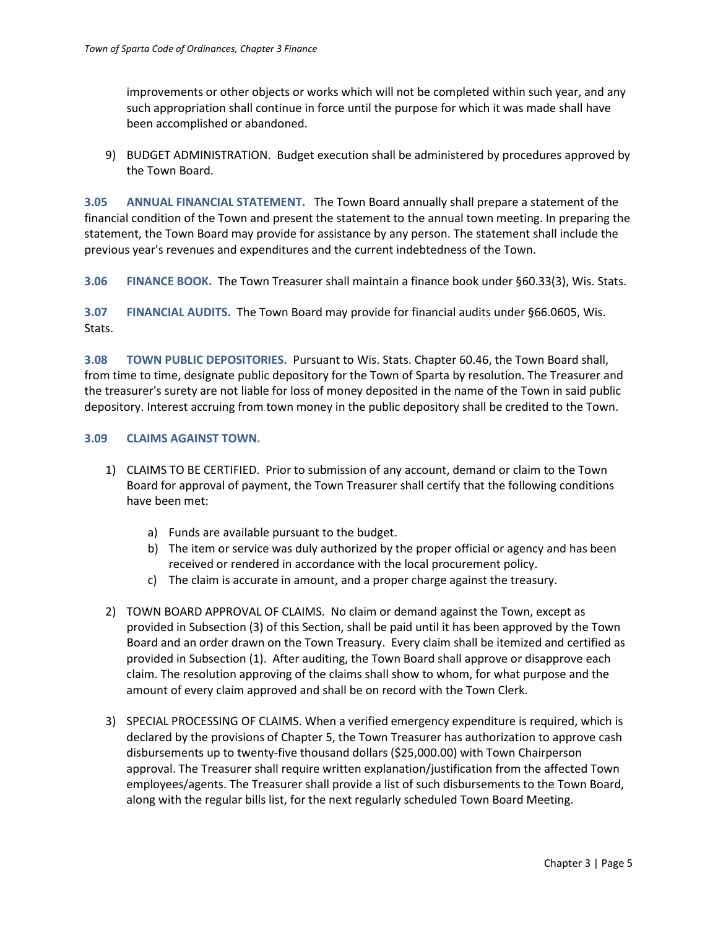improvements or other objects or works which will not be completed within such year, and any such appropriation shall continue in force until the purpose for which it was made shall have been accomplished or abandoned.

9) BUDGET ADMINISTRATION. Budget execution shall be administered by procedures approved by the Town Board.

<span id="page-4-0"></span>**3.05 ANNUAL FINANCIAL STATEMENT.** The Town Board annually shall prepare a statement of the financial condition of the Town and present the statement to the annual town meeting. In preparing the statement, the Town Board may provide for assistance by any person. The statement shall include the previous year's revenues and expenditures and the current indebtedness of the Town.

<span id="page-4-1"></span>**3.06 FINANCE BOOK.** The Town Treasurer shall maintain a finance book under §60.33(3), Wis. Stats.

<span id="page-4-2"></span>**3.07 FINANCIAL AUDITS.** The Town Board may provide for financial audits under §66.0605, Wis. Stats.

<span id="page-4-3"></span>**3.08 TOWN PUBLIC DEPOSITORIES.** Pursuant to Wis. Stats. Chapter 60.46, the Town Board shall, from time to time, designate public depository for the Town of Sparta by resolution. The Treasurer and the treasurer's surety are not liable for loss of money deposited in the name of the Town in said public depository. Interest accruing from town money in the public depository shall be credited to the Town.

#### <span id="page-4-4"></span>**3.09 CLAIMS AGAINST TOWN.**

- 1) CLAIMS TO BE CERTIFIED. Prior to submission of any account, demand or claim to the Town Board for approval of payment, the Town Treasurer shall certify that the following conditions have been met:
	- a) Funds are available pursuant to the budget.
	- b) The item or service was duly authorized by the proper official or agency and has been received or rendered in accordance with the local procurement policy.
	- c) The claim is accurate in amount, and a proper charge against the treasury.
- 2) TOWN BOARD APPROVAL OF CLAIMS. No claim or demand against the Town, except as provided in Subsection (3) of this Section, shall be paid until it has been approved by the Town Board and an order drawn on the Town Treasury. Every claim shall be itemized and certified as provided in Subsection (1). After auditing, the Town Board shall approve or disapprove each claim. The resolution approving of the claims shall show to whom, for what purpose and the amount of every claim approved and shall be on record with the Town Clerk.
- 3) SPECIAL PROCESSING OF CLAIMS. When a verified emergency expenditure is required, which is declared by the provisions of Chapter 5, the Town Treasurer has authorization to approve cash disbursements up to twenty-five thousand dollars (\$25,000.00) with Town Chairperson approval. The Treasurer shall require written explanation/justification from the affected Town employees/agents. The Treasurer shall provide a list of such disbursements to the Town Board, along with the regular bills list, for the next regularly scheduled Town Board Meeting.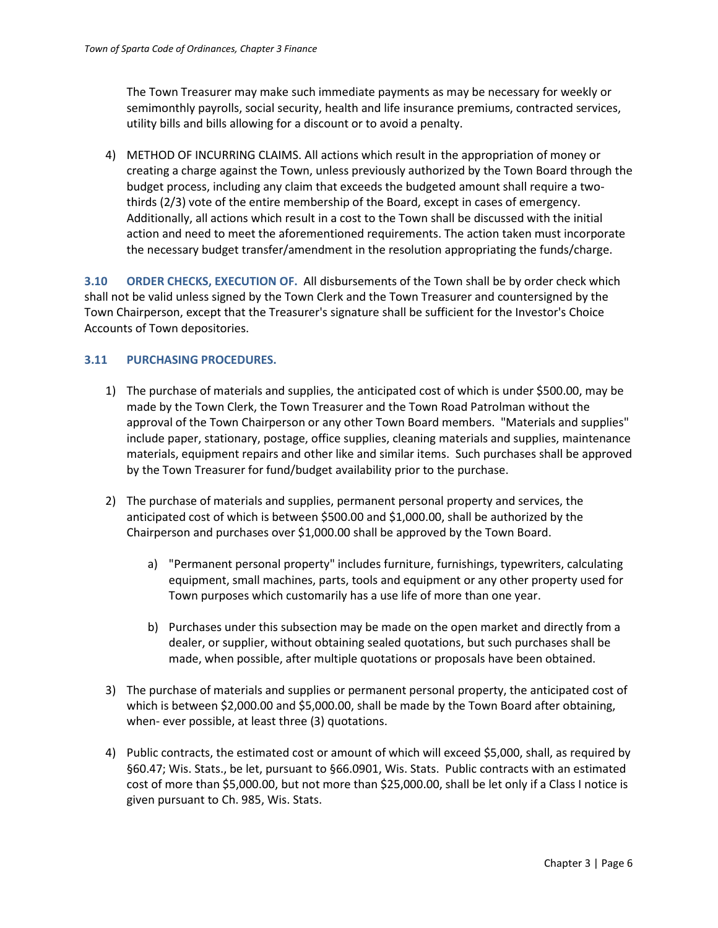The Town Treasurer may make such immediate payments as may be necessary for weekly or semimonthly payrolls, social security, health and life insurance premiums, contracted services, utility bills and bills allowing for a discount or to avoid a penalty.

4) METHOD OF INCURRING CLAIMS. All actions which result in the appropriation of money or creating a charge against the Town, unless previously authorized by the Town Board through the budget process, including any claim that exceeds the budgeted amount shall require a twothirds (2/3) vote of the entire membership of the Board, except in cases of emergency. Additionally, all actions which result in a cost to the Town shall be discussed with the initial action and need to meet the aforementioned requirements. The action taken must incorporate the necessary budget transfer/amendment in the resolution appropriating the funds/charge.

<span id="page-5-0"></span>**3.10 ORDER CHECKS, EXECUTION OF.** All disbursements of the Town shall be by order check which shall not be valid unless signed by the Town Clerk and the Town Treasurer and countersigned by the Town Chairperson, except that the Treasurer's signature shall be sufficient for the Investor's Choice Accounts of Town depositories.

## <span id="page-5-1"></span>**3.11 PURCHASING PROCEDURES.**

- 1) The purchase of materials and supplies, the anticipated cost of which is under \$500.00, may be made by the Town Clerk, the Town Treasurer and the Town Road Patrolman without the approval of the Town Chairperson or any other Town Board members. "Materials and supplies" include paper, stationary, postage, office supplies, cleaning materials and supplies, maintenance materials, equipment repairs and other like and similar items. Such purchases shall be approved by the Town Treasurer for fund/budget availability prior to the purchase.
- 2) The purchase of materials and supplies, permanent personal property and services, the anticipated cost of which is between \$500.00 and \$1,000.00, shall be authorized by the Chairperson and purchases over \$1,000.00 shall be approved by the Town Board.
	- a) "Permanent personal property" includes furniture, furnishings, typewriters, calculating equipment, small machines, parts, tools and equipment or any other property used for Town purposes which customarily has a use life of more than one year.
	- b) Purchases under this subsection may be made on the open market and directly from a dealer, or supplier, without obtaining sealed quotations, but such purchases shall be made, when possible, after multiple quotations or proposals have been obtained.
- 3) The purchase of materials and supplies or permanent personal property, the anticipated cost of which is between \$2,000.00 and \$5,000.00, shall be made by the Town Board after obtaining, when- ever possible, at least three (3) quotations.
- 4) Public contracts, the estimated cost or amount of which will exceed \$5,000, shall, as required by §60.47; Wis. Stats., be let, pursuant to §66.0901, Wis. Stats. Public contracts with an estimated cost of more than \$5,000.00, but not more than \$25,000.00, shall be let only if a Class I notice is given pursuant to Ch. 985, Wis. Stats.